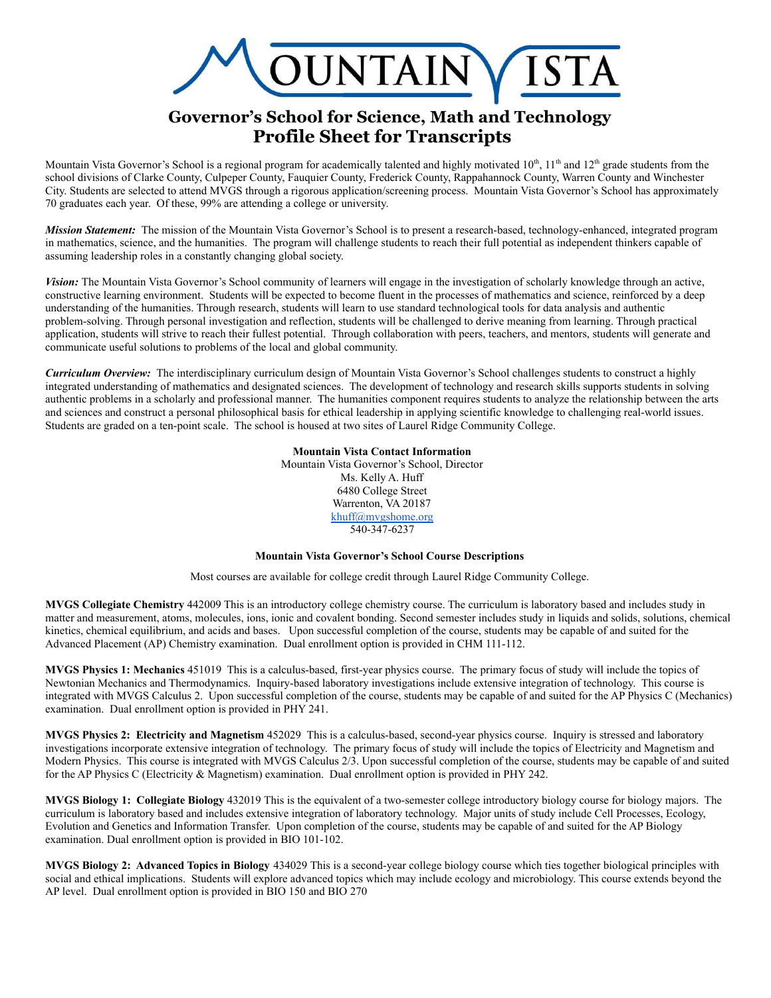

## **Governor's School for Science, Math and Technology Profile Sheet for Transcripts**

Mountain Vista Governor's School is a regional program for academically talented and highly motivated  $10<sup>th</sup>$ ,  $11<sup>th</sup>$  and  $12<sup>th</sup>$  grade students from the school divisions of Clarke County, Culpeper County, Fauquier County, Frederick County, Rappahannock County, Warren County and Winchester City. Students are selected to attend MVGS through a rigorous application/screening process. Mountain Vista Governor's School has approximately 70 graduates each year. Of these, 99% are attending a college or university.

*Mission Statement:* The mission of the Mountain Vista Governor's School is to present a research-based, technology-enhanced, integrated program in mathematics, science, and the humanities. The program will challenge students to reach their full potential as independent thinkers capable of assuming leadership roles in a constantly changing global society.

*Vision:* The Mountain Vista Governor's School community of learners will engage in the investigation of scholarly knowledge through an active, constructive learning environment. Students will be expected to become fluent in the processes of mathematics and science, reinforced by a deep understanding of the humanities. Through research, students will learn to use standard technological tools for data analysis and authentic problem-solving. Through personal investigation and reflection, students will be challenged to derive meaning from learning. Through practical application, students will strive to reach their fullest potential. Through collaboration with peers, teachers, and mentors, students will generate and communicate useful solutions to problems of the local and global community.

*Curriculum Overview:* The interdisciplinary curriculum design of Mountain Vista Governor's School challenges students to construct a highly integrated understanding of mathematics and designated sciences. The development of technology and research skills supports students in solving authentic problems in a scholarly and professional manner. The humanities component requires students to analyze the relationship between the arts and sciences and construct a personal philosophical basis for ethical leadership in applying scientific knowledge to challenging real-world issues. Students are graded on a ten-point scale. The school is housed at two sites of Laurel Ridge Community College.

## **Mountain Vista Contact Information**

Mountain Vista Governor's School, Director Ms. Kelly A. Huff 6480 College Street Warrenton, VA 20187 [khuff@mvgshome.org](mailto:khuff@mvgshome.org) 540-347-6237

## **Mountain Vista Governor's School Course Descriptions**

Most courses are available for college credit through Laurel Ridge Community College.

**MVGS Collegiate Chemistry** 442009 This is an introductory college chemistry course. The curriculum is laboratory based and includes study in matter and measurement, atoms, molecules, ions, ionic and covalent bonding. Second semester includes study in liquids and solids, solutions, chemical kinetics, chemical equilibrium, and acids and bases. Upon successful completion of the course, students may be capable of and suited for the Advanced Placement (AP) Chemistry examination. Dual enrollment option is provided in CHM 111-112.

**MVGS Physics 1: Mechanics** 451019 This is a calculus-based, first-year physics course. The primary focus of study will include the topics of Newtonian Mechanics and Thermodynamics. Inquiry-based laboratory investigations include extensive integration of technology. This course is integrated with MVGS Calculus 2. Upon successful completion of the course, students may be capable of and suited for the AP Physics C (Mechanics) examination. Dual enrollment option is provided in PHY 241.

**MVGS Physics 2: Electricity and Magnetism** 452029 This is a calculus-based, second-year physics course. Inquiry is stressed and laboratory investigations incorporate extensive integration of technology. The primary focus of study will include the topics of Electricity and Magnetism and Modern Physics. This course is integrated with MVGS Calculus 2/3. Upon successful completion of the course, students may be capable of and suited for the AP Physics C (Electricity & Magnetism) examination. Dual enrollment option is provided in PHY 242.

**MVGS Biology 1: Collegiate Biology** 432019 This is the equivalent of a two-semester college introductory biology course for biology majors. The curriculum is laboratory based and includes extensive integration of laboratory technology. Major units of study include Cell Processes, Ecology, Evolution and Genetics and Information Transfer. Upon completion of the course, students may be capable of and suited for the AP Biology examination. Dual enrollment option is provided in BIO 101-102.

**MVGS Biology 2: Advanced Topics in Biology** 434029 This is a second-year college biology course which ties together biological principles with social and ethical implications. Students will explore advanced topics which may include ecology and microbiology. This course extends beyond the AP level. Dual enrollment option is provided in BIO 150 and BIO 270